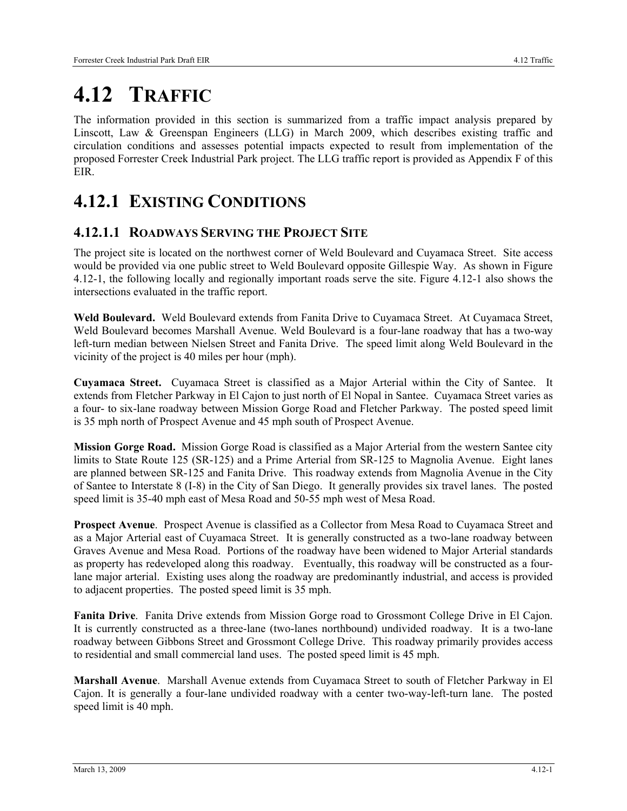# **4.12 TRAFFIC**

The information provided in this section is summarized from a traffic impact analysis prepared by Linscott, Law & Greenspan Engineers (LLG) in March 2009, which describes existing traffic and circulation conditions and assesses potential impacts expected to result from implementation of the proposed Forrester Creek Industrial Park project. The LLG traffic report is provided as Appendix F of this EIR.

# **4.12.1 EXISTING CONDITIONS**

# **4.12.1.1 ROADWAYS SERVING THE PROJECT SITE**

The project site is located on the northwest corner of Weld Boulevard and Cuyamaca Street. Site access would be provided via one public street to Weld Boulevard opposite Gillespie Way. As shown in Figure 4.12-1, the following locally and regionally important roads serve the site. Figure 4.12-1 also shows the intersections evaluated in the traffic report.

**Weld Boulevard.** Weld Boulevard extends from Fanita Drive to Cuyamaca Street. At Cuyamaca Street, Weld Boulevard becomes Marshall Avenue. Weld Boulevard is a four-lane roadway that has a two-way left-turn median between Nielsen Street and Fanita Drive. The speed limit along Weld Boulevard in the vicinity of the project is 40 miles per hour (mph).

**Cuyamaca Street.** Cuyamaca Street is classified as a Major Arterial within the City of Santee. It extends from Fletcher Parkway in El Cajon to just north of El Nopal in Santee. Cuyamaca Street varies as a four- to six-lane roadway between Mission Gorge Road and Fletcher Parkway. The posted speed limit is 35 mph north of Prospect Avenue and 45 mph south of Prospect Avenue.

**Mission Gorge Road.** Mission Gorge Road is classified as a Major Arterial from the western Santee city limits to State Route 125 (SR-125) and a Prime Arterial from SR-125 to Magnolia Avenue. Eight lanes are planned between SR-125 and Fanita Drive. This roadway extends from Magnolia Avenue in the City of Santee to Interstate 8 (I-8) in the City of San Diego. It generally provides six travel lanes. The posted speed limit is 35-40 mph east of Mesa Road and 50-55 mph west of Mesa Road.

**Prospect Avenue**. Prospect Avenue is classified as a Collector from Mesa Road to Cuyamaca Street and as a Major Arterial east of Cuyamaca Street. It is generally constructed as a two-lane roadway between Graves Avenue and Mesa Road. Portions of the roadway have been widened to Major Arterial standards as property has redeveloped along this roadway. Eventually, this roadway will be constructed as a fourlane major arterial. Existing uses along the roadway are predominantly industrial, and access is provided to adjacent properties. The posted speed limit is 35 mph.

**Fanita Drive**. Fanita Drive extends from Mission Gorge road to Grossmont College Drive in El Cajon. It is currently constructed as a three-lane (two-lanes northbound) undivided roadway. It is a two-lane roadway between Gibbons Street and Grossmont College Drive. This roadway primarily provides access to residential and small commercial land uses. The posted speed limit is 45 mph.

**Marshall Avenue**. Marshall Avenue extends from Cuyamaca Street to south of Fletcher Parkway in El Cajon. It is generally a four-lane undivided roadway with a center two-way-left-turn lane. The posted speed limit is 40 mph.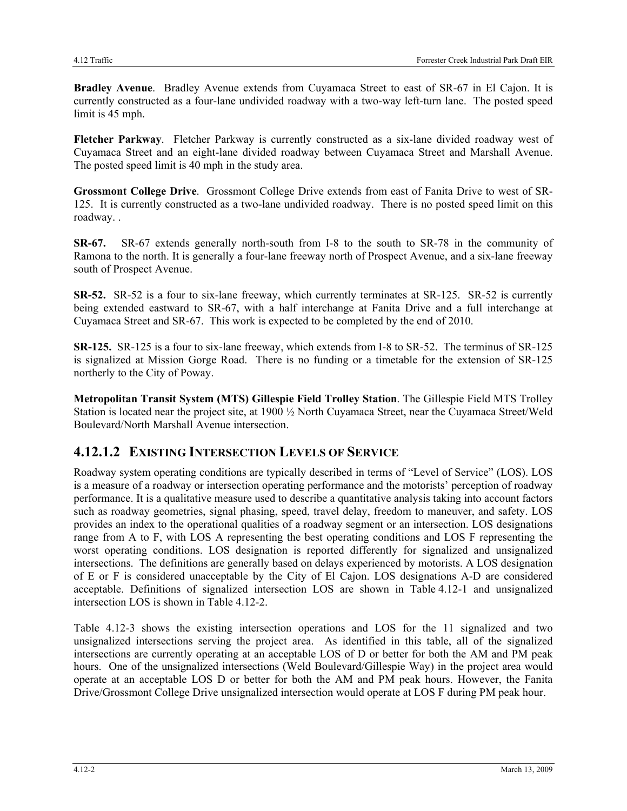**Bradley Avenue**. Bradley Avenue extends from Cuyamaca Street to east of SR-67 in El Cajon. It is currently constructed as a four-lane undivided roadway with a two-way left-turn lane. The posted speed limit is 45 mph.

**Fletcher Parkway**. Fletcher Parkway is currently constructed as a six-lane divided roadway west of Cuyamaca Street and an eight-lane divided roadway between Cuyamaca Street and Marshall Avenue. The posted speed limit is 40 mph in the study area.

**Grossmont College Drive**. Grossmont College Drive extends from east of Fanita Drive to west of SR-125. It is currently constructed as a two-lane undivided roadway. There is no posted speed limit on this roadway. .

**SR-67.** SR-67 extends generally north-south from I-8 to the south to SR-78 in the community of Ramona to the north. It is generally a four-lane freeway north of Prospect Avenue, and a six-lane freeway south of Prospect Avenue.

**SR-52.** SR-52 is a four to six-lane freeway, which currently terminates at SR-125. SR-52 is currently being extended eastward to SR-67, with a half interchange at Fanita Drive and a full interchange at Cuyamaca Street and SR-67. This work is expected to be completed by the end of 2010.

**SR-125.** SR-125 is a four to six-lane freeway, which extends from I-8 to SR-52. The terminus of SR-125 is signalized at Mission Gorge Road. There is no funding or a timetable for the extension of SR-125 northerly to the City of Poway.

**Metropolitan Transit System (MTS) Gillespie Field Trolley Station**. The Gillespie Field MTS Trolley Station is located near the project site, at 1900 ½ North Cuyamaca Street, near the Cuyamaca Street/Weld Boulevard/North Marshall Avenue intersection.

## **4.12.1.2 EXISTING INTERSECTION LEVELS OF SERVICE**

Roadway system operating conditions are typically described in terms of "Level of Service" (LOS). LOS is a measure of a roadway or intersection operating performance and the motorists' perception of roadway performance. It is a qualitative measure used to describe a quantitative analysis taking into account factors such as roadway geometries, signal phasing, speed, travel delay, freedom to maneuver, and safety. LOS provides an index to the operational qualities of a roadway segment or an intersection. LOS designations range from A to F, with LOS A representing the best operating conditions and LOS F representing the worst operating conditions. LOS designation is reported differently for signalized and unsignalized intersections. The definitions are generally based on delays experienced by motorists. A LOS designation of E or F is considered unacceptable by the City of El Cajon. LOS designations A-D are considered acceptable. Definitions of signalized intersection LOS are shown in Table 4.12-1 and unsignalized intersection LOS is shown in Table 4.12-2.

Table 4.12-3 shows the existing intersection operations and LOS for the 11 signalized and two unsignalized intersections serving the project area. As identified in this table, all of the signalized intersections are currently operating at an acceptable LOS of D or better for both the AM and PM peak hours. One of the unsignalized intersections (Weld Boulevard/Gillespie Way) in the project area would operate at an acceptable LOS D or better for both the AM and PM peak hours. However, the Fanita Drive/Grossmont College Drive unsignalized intersection would operate at LOS F during PM peak hour.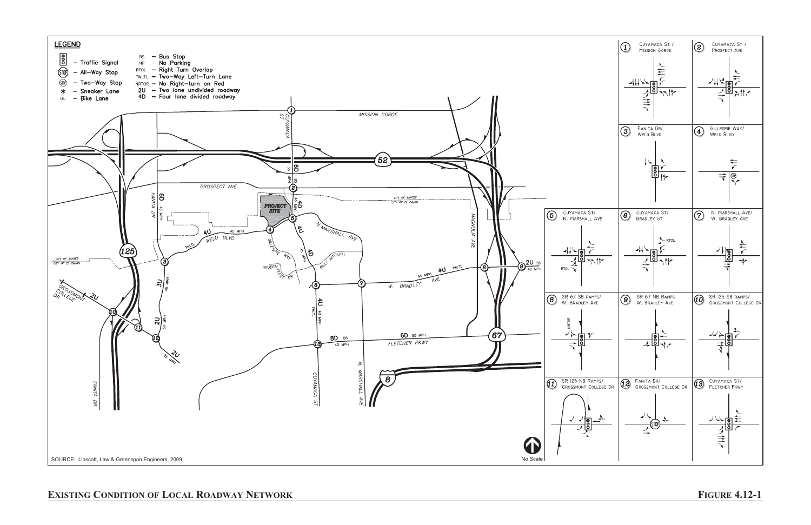# **EXISTING CONDITION OF LOCAL ROADWAY NETWORK FIGURE**

**4.12-1**

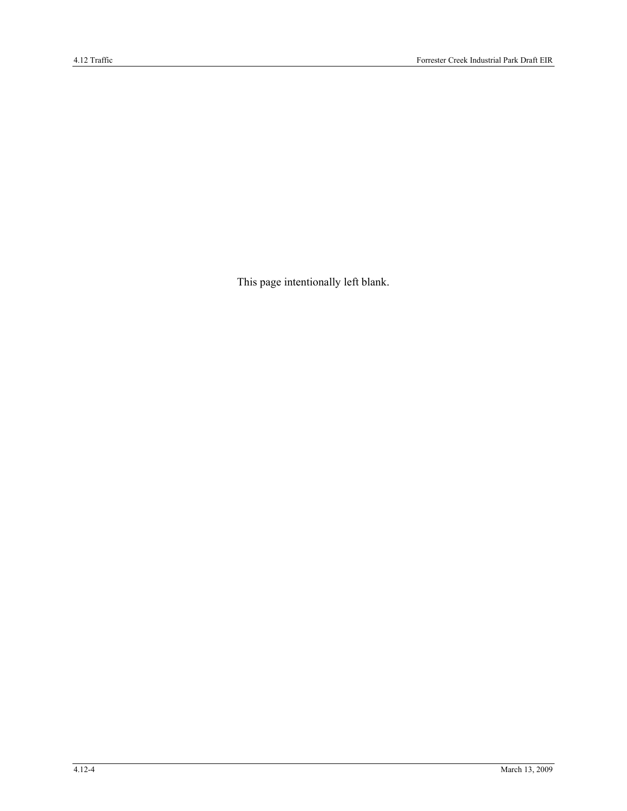This page intentionally left blank.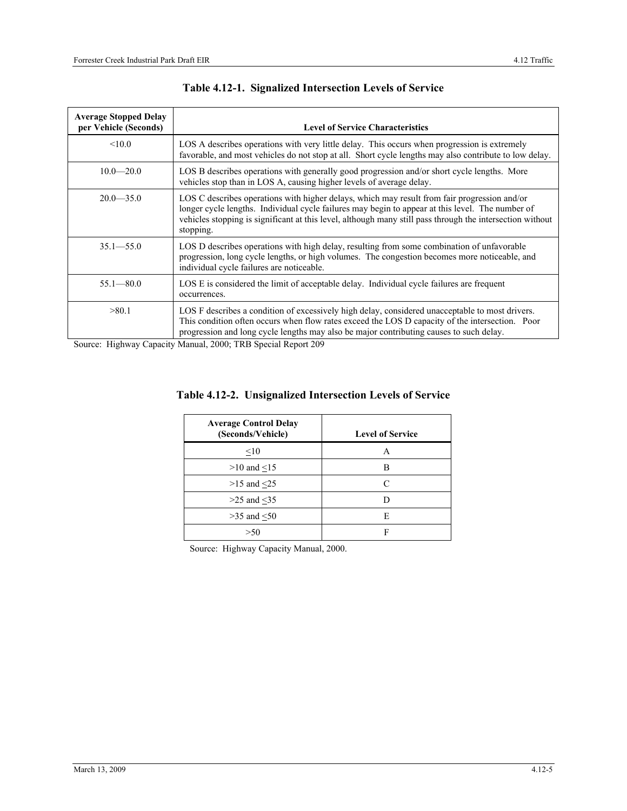| <b>Average Stopped Delay</b><br>per Vehicle (Seconds) | <b>Level of Service Characteristics</b>                                                                                                                                                                                                                                                                                    |
|-------------------------------------------------------|----------------------------------------------------------------------------------------------------------------------------------------------------------------------------------------------------------------------------------------------------------------------------------------------------------------------------|
| < 10.0                                                | LOS A describes operations with very little delay. This occurs when progression is extremely<br>favorable, and most vehicles do not stop at all. Short cycle lengths may also contribute to low delay.                                                                                                                     |
| $10.0 - 20.0$                                         | LOS B describes operations with generally good progression and/or short cycle lengths. More<br>vehicles stop than in LOS A, causing higher levels of average delay.                                                                                                                                                        |
| $20.0 - 35.0$                                         | LOS C describes operations with higher delays, which may result from fair progression and/or<br>longer cycle lengths. Individual cycle failures may begin to appear at this level. The number of<br>vehicles stopping is significant at this level, although many still pass through the intersection without<br>stopping. |
| $35.1 - 55.0$                                         | LOS D describes operations with high delay, resulting from some combination of unfavorable<br>progression, long cycle lengths, or high volumes. The congestion becomes more noticeable, and<br>individual cycle failures are noticeable.                                                                                   |
| $55.1 - 80.0$                                         | LOS E is considered the limit of acceptable delay. Individual cycle failures are frequent<br>occurrences.                                                                                                                                                                                                                  |
| >80.1                                                 | LOS F describes a condition of excessively high delay, considered unacceptable to most drivers.<br>This condition often occurs when flow rates exceed the LOS D capacity of the intersection. Poor<br>progression and long cycle lengths may also be major contributing causes to such delay.                              |

| Table 4.12-1. Signalized Intersection Levels of Service |  |  |  |  |
|---------------------------------------------------------|--|--|--|--|
|---------------------------------------------------------|--|--|--|--|

Source: Highway Capacity Manual, 2000; TRB Special Report 209

|  |  |  | Table 4.12-2. Unsignalized Intersection Levels of Service |
|--|--|--|-----------------------------------------------------------|
|--|--|--|-----------------------------------------------------------|

| <b>Average Control Delay</b><br>(Seconds/Vehicle) | <b>Level of Service</b> |
|---------------------------------------------------|-------------------------|
| <10                                               | A                       |
| $>10$ and $<15$                                   | B                       |
| $>15$ and $<25$                                   | $\subset$               |
| $>25$ and $<35$                                   |                         |
| $>35$ and $<50$                                   | E                       |
| >50                                               | F                       |

Source: Highway Capacity Manual, 2000.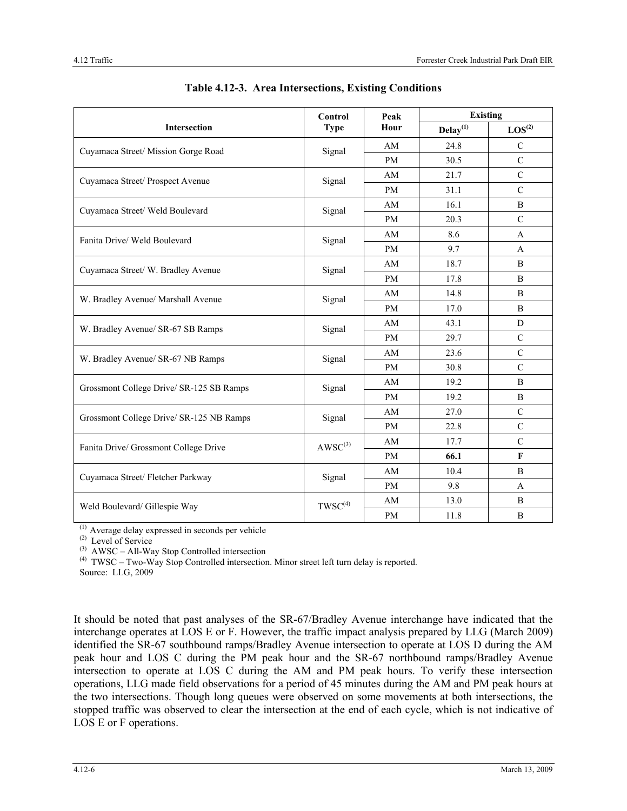|                                          | Control             | Peak      | <b>Existing</b>      |                    |  |  |
|------------------------------------------|---------------------|-----------|----------------------|--------------------|--|--|
| Intersection                             | <b>Type</b>         | Hour      | Delay <sup>(1)</sup> | LOS <sup>(2)</sup> |  |  |
|                                          |                     | AM        | 24.8                 | C                  |  |  |
| Cuyamaca Street/ Mission Gorge Road      | Signal              | <b>PM</b> | 30.5                 | $\mathcal{C}$      |  |  |
| Cuyamaca Street/ Prospect Avenue         | Signal              | AM        | 21.7                 | $\mathbf C$        |  |  |
|                                          |                     | <b>PM</b> | 31.1                 | $\mathcal{C}$      |  |  |
| Cuyamaca Street/ Weld Boulevard          | Signal              | AM        | 16.1                 | B                  |  |  |
|                                          |                     | <b>PM</b> | 20.3                 | $\mathbf C$        |  |  |
| Fanita Drive/ Weld Boulevard             | Signal              | AM        | 8.6                  | A                  |  |  |
|                                          |                     | <b>PM</b> | 9.7                  | A                  |  |  |
| Cuyamaca Street/ W. Bradley Avenue       | Signal              | AM        | 18.7                 | B                  |  |  |
|                                          |                     | <b>PM</b> | 17.8                 | B                  |  |  |
| W. Bradley Avenue/ Marshall Avenue       | Signal              | AM        | 14.8                 | B                  |  |  |
|                                          |                     | <b>PM</b> | 17.0                 | B                  |  |  |
| W. Bradley Avenue/ SR-67 SB Ramps        | Signal              | AM        | 43.1                 | D                  |  |  |
|                                          |                     | <b>PM</b> | 29.7                 | $\mathcal{C}$      |  |  |
| W. Bradley Avenue/ SR-67 NB Ramps        | Signal              | AM        | 23.6                 | $\mathcal{C}$      |  |  |
|                                          |                     | <b>PM</b> | 30.8                 | $\mathcal{C}$      |  |  |
| Grossmont College Drive/ SR-125 SB Ramps | Signal              | AM        | 19.2                 | B                  |  |  |
|                                          |                     | <b>PM</b> | 19.2                 | B                  |  |  |
| Grossmont College Drive/ SR-125 NB Ramps | Signal              | AM        | 27.0                 | $\mathcal{C}$      |  |  |
|                                          |                     | <b>PM</b> | 22.8                 | $\mathcal{C}$      |  |  |
| Fanita Drive/ Grossmont College Drive    | $AWSC^{(3)}$        | AM        | 17.7                 | $\mathcal{C}$      |  |  |
|                                          |                     | <b>PM</b> | 66.1                 | F                  |  |  |
| Cuyamaca Street/Fletcher Parkway         | Signal              | AM        | 10.4                 | B                  |  |  |
|                                          |                     | <b>PM</b> | 9.8                  | $\mathbf{A}$       |  |  |
| Weld Boulevard/ Gillespie Way            | TWSC <sup>(4)</sup> | AM        | 13.0                 | B                  |  |  |
|                                          |                     | <b>PM</b> | 11.8                 | B                  |  |  |

**Table 4.12-3. Area Intersections, Existing Conditions** 

 $(1)$  Average delay expressed in seconds per vehicle

(2) Level of Service

(3) AWSC – All-Way Stop Controlled intersection

(4) TWSC – Two-Way Stop Controlled intersection. Minor street left turn delay is reported.

Source: LLG, 2009

It should be noted that past analyses of the SR-67/Bradley Avenue interchange have indicated that the interchange operates at LOS E or F. However, the traffic impact analysis prepared by LLG (March 2009) identified the SR-67 southbound ramps/Bradley Avenue intersection to operate at LOS D during the AM peak hour and LOS C during the PM peak hour and the SR-67 northbound ramps/Bradley Avenue intersection to operate at LOS C during the AM and PM peak hours. To verify these intersection operations, LLG made field observations for a period of 45 minutes during the AM and PM peak hours at the two intersections. Though long queues were observed on some movements at both intersections, the stopped traffic was observed to clear the intersection at the end of each cycle, which is not indicative of LOS E or F operations.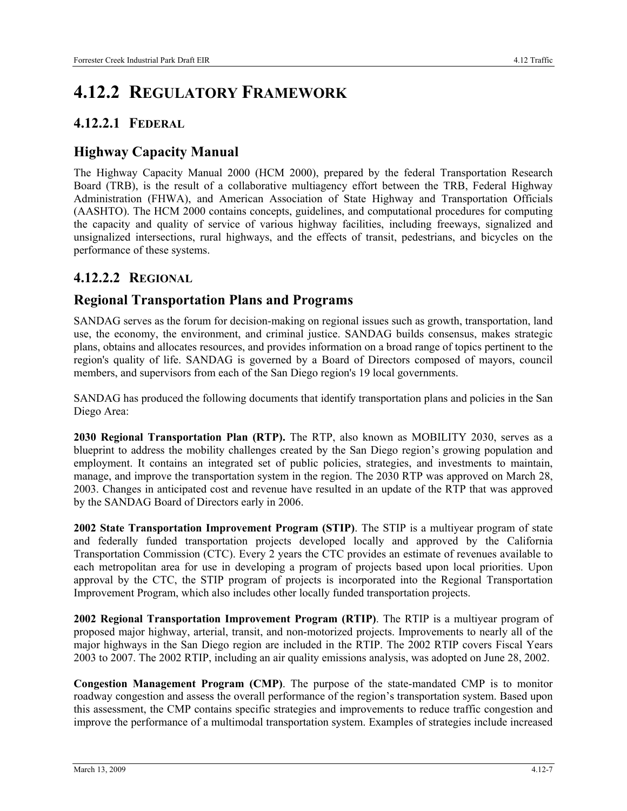# **4.12.2 REGULATORY FRAMEWORK**

# **4.12.2.1 FEDERAL**

# **Highway Capacity Manual**

The Highway Capacity Manual 2000 (HCM 2000), prepared by the federal Transportation Research Board (TRB), is the result of a collaborative multiagency effort between the TRB, Federal Highway Administration (FHWA), and American Association of State Highway and Transportation Officials (AASHTO). The HCM 2000 contains concepts, guidelines, and computational procedures for computing the capacity and quality of service of various highway facilities, including freeways, signalized and unsignalized intersections, rural highways, and the effects of transit, pedestrians, and bicycles on the performance of these systems.

# **4.12.2.2 REGIONAL**

## **Regional Transportation Plans and Programs**

SANDAG serves as the forum for decision-making on regional issues such as growth, transportation, land use, the economy, the environment, and criminal justice. SANDAG builds consensus, makes strategic plans, obtains and allocates resources, and provides information on a broad range of topics pertinent to the region's quality of life. SANDAG is governed by a Board of Directors composed of mayors, council members, and supervisors from each of the San Diego region's 19 local governments.

SANDAG has produced the following documents that identify transportation plans and policies in the San Diego Area:

**2030 Regional Transportation Plan (RTP).** The RTP, also known as MOBILITY 2030, serves as a blueprint to address the mobility challenges created by the San Diego region's growing population and employment. It contains an integrated set of public policies, strategies, and investments to maintain, manage, and improve the transportation system in the region. The 2030 RTP was approved on March 28, 2003. Changes in anticipated cost and revenue have resulted in an update of the RTP that was approved by the SANDAG Board of Directors early in 2006.

**2002 State Transportation Improvement Program (STIP)**. The STIP is a multiyear program of state and federally funded transportation projects developed locally and approved by the California Transportation Commission (CTC). Every 2 years the CTC provides an estimate of revenues available to each metropolitan area for use in developing a program of projects based upon local priorities. Upon approval by the CTC, the STIP program of projects is incorporated into the Regional Transportation Improvement Program, which also includes other locally funded transportation projects.

**2002 Regional Transportation Improvement Program (RTIP)**. The RTIP is a multiyear program of proposed major highway, arterial, transit, and non-motorized projects. Improvements to nearly all of the major highways in the San Diego region are included in the RTIP. The 2002 RTIP covers Fiscal Years 2003 to 2007. The 2002 RTIP, including an air quality emissions analysis, was adopted on June 28, 2002.

**Congestion Management Program (CMP)**. The purpose of the state-mandated CMP is to monitor roadway congestion and assess the overall performance of the region's transportation system. Based upon this assessment, the CMP contains specific strategies and improvements to reduce traffic congestion and improve the performance of a multimodal transportation system. Examples of strategies include increased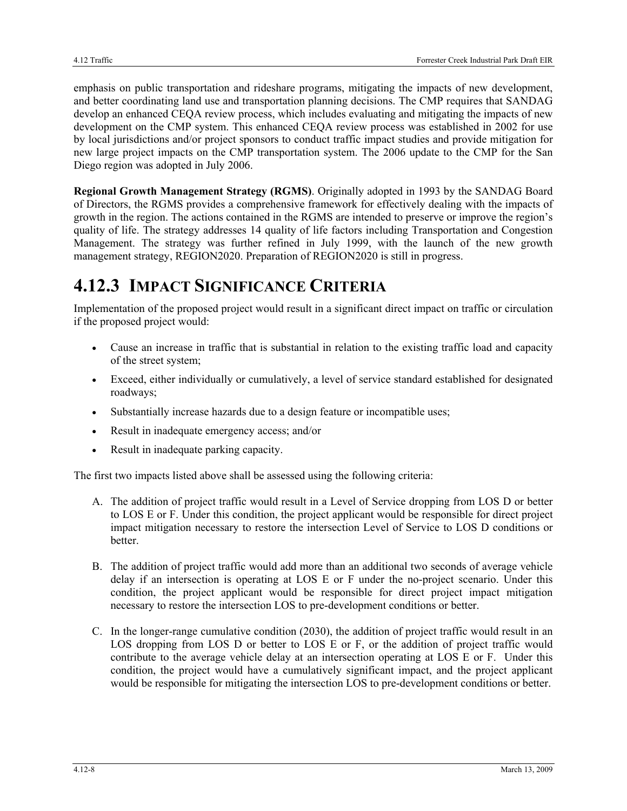emphasis on public transportation and rideshare programs, mitigating the impacts of new development, and better coordinating land use and transportation planning decisions. The CMP requires that SANDAG develop an enhanced CEQA review process, which includes evaluating and mitigating the impacts of new development on the CMP system. This enhanced CEQA review process was established in 2002 for use by local jurisdictions and/or project sponsors to conduct traffic impact studies and provide mitigation for new large project impacts on the CMP transportation system. The 2006 update to the CMP for the San Diego region was adopted in July 2006.

**Regional Growth Management Strategy (RGMS)**. Originally adopted in 1993 by the SANDAG Board of Directors, the RGMS provides a comprehensive framework for effectively dealing with the impacts of growth in the region. The actions contained in the RGMS are intended to preserve or improve the region's quality of life. The strategy addresses 14 quality of life factors including Transportation and Congestion Management. The strategy was further refined in July 1999, with the launch of the new growth management strategy, REGION2020. Preparation of REGION2020 is still in progress.

# **4.12.3 IMPACT SIGNIFICANCE CRITERIA**

Implementation of the proposed project would result in a significant direct impact on traffic or circulation if the proposed project would:

- Cause an increase in traffic that is substantial in relation to the existing traffic load and capacity of the street system;
- Exceed, either individually or cumulatively, a level of service standard established for designated roadways;
- Substantially increase hazards due to a design feature or incompatible uses;
- Result in inadequate emergency access; and/or
- Result in inadequate parking capacity.

The first two impacts listed above shall be assessed using the following criteria:

- A. The addition of project traffic would result in a Level of Service dropping from LOS D or better to LOS E or F. Under this condition, the project applicant would be responsible for direct project impact mitigation necessary to restore the intersection Level of Service to LOS D conditions or better.
- B. The addition of project traffic would add more than an additional two seconds of average vehicle delay if an intersection is operating at LOS E or F under the no-project scenario. Under this condition, the project applicant would be responsible for direct project impact mitigation necessary to restore the intersection LOS to pre-development conditions or better.
- C. In the longer-range cumulative condition (2030), the addition of project traffic would result in an LOS dropping from LOS D or better to LOS E or F, or the addition of project traffic would contribute to the average vehicle delay at an intersection operating at LOS E or F. Under this condition, the project would have a cumulatively significant impact, and the project applicant would be responsible for mitigating the intersection LOS to pre-development conditions or better.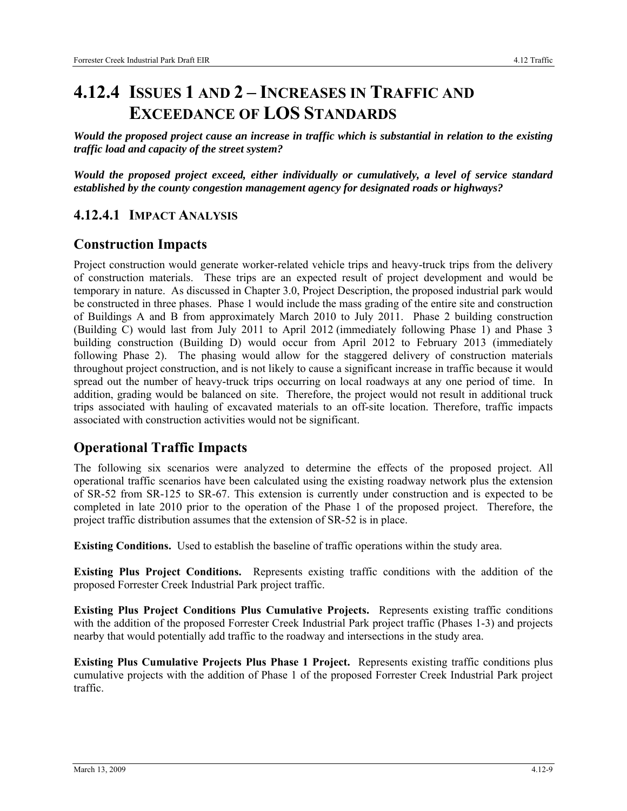# **4.12.4 ISSUES 1 AND 2 – INCREASES IN TRAFFIC AND EXCEEDANCE OF LOS STANDARDS**

*Would the proposed project cause an increase in traffic which is substantial in relation to the existing traffic load and capacity of the street system?* 

*Would the proposed project exceed, either individually or cumulatively, a level of service standard established by the county congestion management agency for designated roads or highways?* 

## **4.12.4.1 IMPACT ANALYSIS**

# **Construction Impacts**

Project construction would generate worker-related vehicle trips and heavy-truck trips from the delivery of construction materials. These trips are an expected result of project development and would be temporary in nature. As discussed in Chapter 3.0, Project Description, the proposed industrial park would be constructed in three phases. Phase 1 would include the mass grading of the entire site and construction of Buildings A and B from approximately March 2010 to July 2011. Phase 2 building construction (Building C) would last from July 2011 to April 2012 (immediately following Phase 1) and Phase 3 building construction (Building D) would occur from April 2012 to February 2013 (immediately following Phase 2). The phasing would allow for the staggered delivery of construction materials throughout project construction, and is not likely to cause a significant increase in traffic because it would spread out the number of heavy-truck trips occurring on local roadways at any one period of time. In addition, grading would be balanced on site. Therefore, the project would not result in additional truck trips associated with hauling of excavated materials to an off-site location. Therefore, traffic impacts associated with construction activities would not be significant.

# **Operational Traffic Impacts**

The following six scenarios were analyzed to determine the effects of the proposed project. All operational traffic scenarios have been calculated using the existing roadway network plus the extension of SR-52 from SR-125 to SR-67. This extension is currently under construction and is expected to be completed in late 2010 prior to the operation of the Phase 1 of the proposed project. Therefore, the project traffic distribution assumes that the extension of SR-52 is in place.

**Existing Conditions.** Used to establish the baseline of traffic operations within the study area.

**Existing Plus Project Conditions.** Represents existing traffic conditions with the addition of the proposed Forrester Creek Industrial Park project traffic.

**Existing Plus Project Conditions Plus Cumulative Projects.** Represents existing traffic conditions with the addition of the proposed Forrester Creek Industrial Park project traffic (Phases 1-3) and projects nearby that would potentially add traffic to the roadway and intersections in the study area.

**Existing Plus Cumulative Projects Plus Phase 1 Project.** Represents existing traffic conditions plus cumulative projects with the addition of Phase 1 of the proposed Forrester Creek Industrial Park project traffic.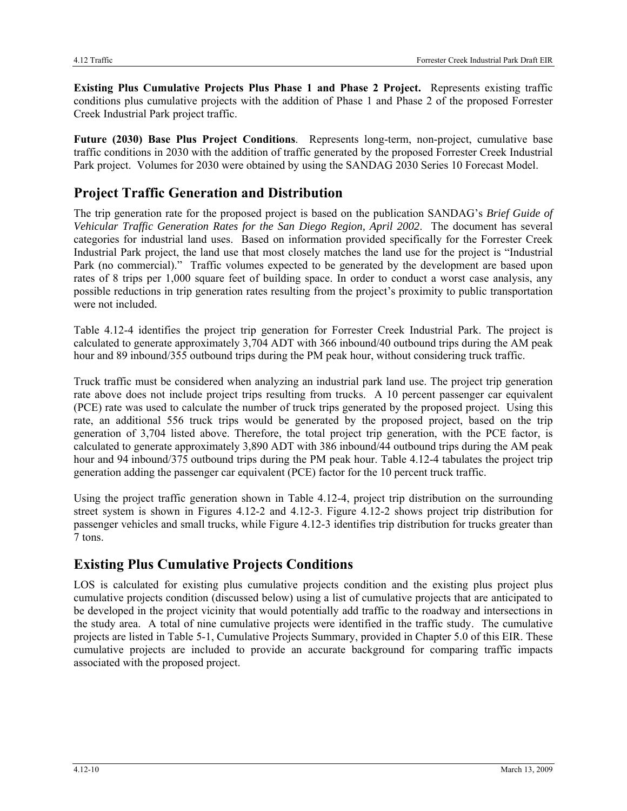**Existing Plus Cumulative Projects Plus Phase 1 and Phase 2 Project.** Represents existing traffic conditions plus cumulative projects with the addition of Phase 1 and Phase 2 of the proposed Forrester Creek Industrial Park project traffic.

**Future (2030) Base Plus Project Conditions**. Represents long-term, non-project, cumulative base traffic conditions in 2030 with the addition of traffic generated by the proposed Forrester Creek Industrial Park project. Volumes for 2030 were obtained by using the SANDAG 2030 Series 10 Forecast Model.

# **Project Traffic Generation and Distribution**

The trip generation rate for the proposed project is based on the publication SANDAG's *Brief Guide of Vehicular Traffic Generation Rates for the San Diego Region, April 2002*. The document has several categories for industrial land uses. Based on information provided specifically for the Forrester Creek Industrial Park project, the land use that most closely matches the land use for the project is "Industrial Park (no commercial)." Traffic volumes expected to be generated by the development are based upon rates of 8 trips per 1,000 square feet of building space. In order to conduct a worst case analysis, any possible reductions in trip generation rates resulting from the project's proximity to public transportation were not included.

Table 4.12-4 identifies the project trip generation for Forrester Creek Industrial Park. The project is calculated to generate approximately 3,704 ADT with 366 inbound/40 outbound trips during the AM peak hour and 89 inbound/355 outbound trips during the PM peak hour, without considering truck traffic.

Truck traffic must be considered when analyzing an industrial park land use. The project trip generation rate above does not include project trips resulting from trucks. A 10 percent passenger car equivalent (PCE) rate was used to calculate the number of truck trips generated by the proposed project. Using this rate, an additional 556 truck trips would be generated by the proposed project, based on the trip generation of 3,704 listed above. Therefore, the total project trip generation, with the PCE factor, is calculated to generate approximately 3,890 ADT with 386 inbound/44 outbound trips during the AM peak hour and 94 inbound/375 outbound trips during the PM peak hour. Table 4.12-4 tabulates the project trip generation adding the passenger car equivalent (PCE) factor for the 10 percent truck traffic.

Using the project traffic generation shown in Table 4.12-4, project trip distribution on the surrounding street system is shown in Figures 4.12-2 and 4.12-3. Figure 4.12-2 shows project trip distribution for passenger vehicles and small trucks, while Figure 4.12-3 identifies trip distribution for trucks greater than 7 tons.

# **Existing Plus Cumulative Projects Conditions**

LOS is calculated for existing plus cumulative projects condition and the existing plus project plus cumulative projects condition (discussed below) using a list of cumulative projects that are anticipated to be developed in the project vicinity that would potentially add traffic to the roadway and intersections in the study area. A total of nine cumulative projects were identified in the traffic study. The cumulative projects are listed in Table 5-1, Cumulative Projects Summary, provided in Chapter 5.0 of this EIR. These cumulative projects are included to provide an accurate background for comparing traffic impacts associated with the proposed project.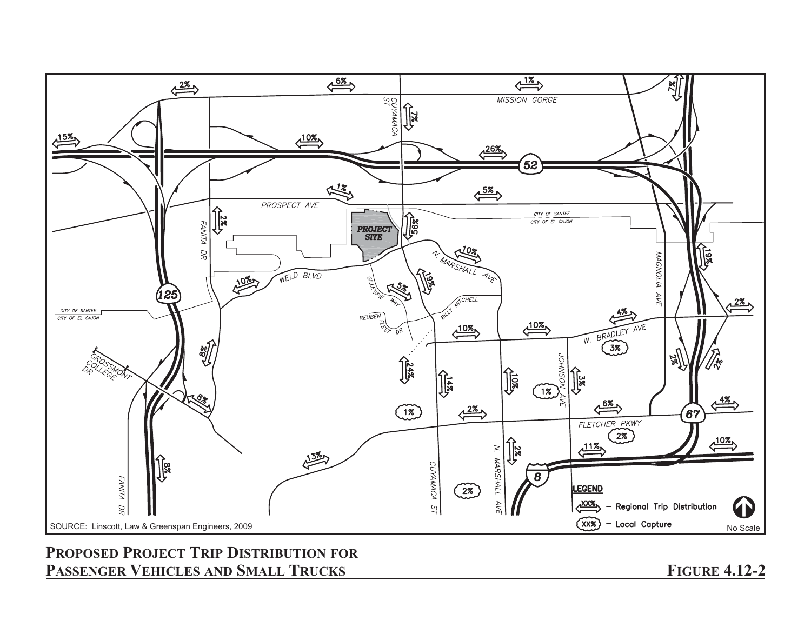

# **PROPOSED PROJECT TRIP DISTRIBUTION FOR PASSENGER VEHICLES AND SMALL TRUCKS FIGURE 4.12-2**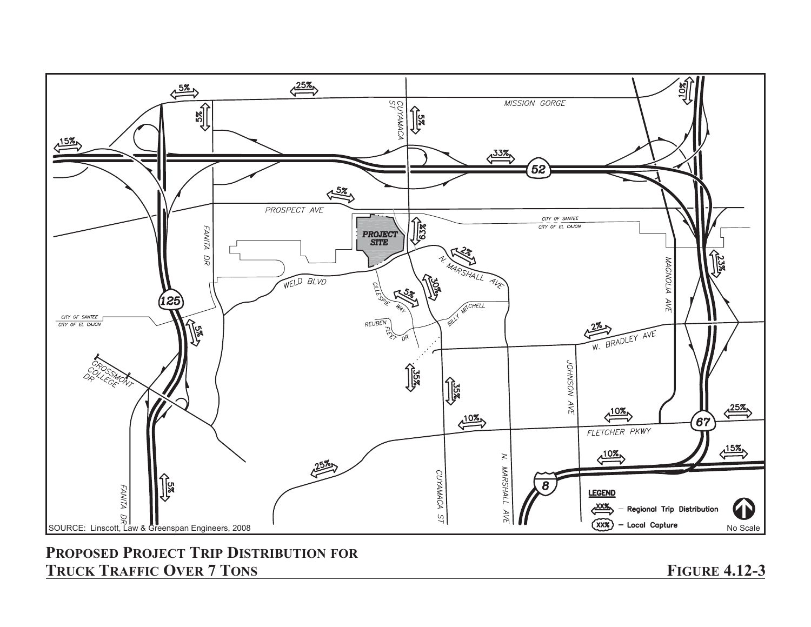

**PROPOSED PROJECT TRIP DISTRIBUTION FOR TRUCK TRAFFIC OVER 7 TONS FIGURE 4.12-3**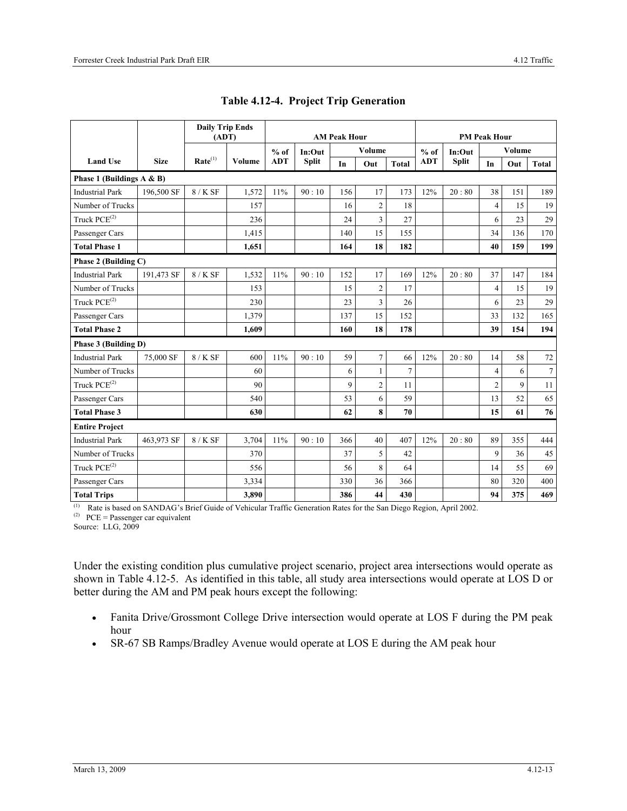|                              |             | <b>Daily Trip Ends</b><br>(ADT) |        |            | <b>AM Peak Hour</b> |     |                |                |            | <b>PM Peak Hour</b> |                          |     |                |
|------------------------------|-------------|---------------------------------|--------|------------|---------------------|-----|----------------|----------------|------------|---------------------|--------------------------|-----|----------------|
|                              |             |                                 |        | $%$ of     | In:Out              |     | <b>Volume</b>  |                | $%$ of     | In:Out              | Volume                   |     |                |
| <b>Land Use</b>              | <b>Size</b> | Rate <sup>(1)</sup>             | Volume | <b>ADT</b> | <b>Split</b>        | In  | Out            | <b>Total</b>   | <b>ADT</b> | <b>Split</b>        | In                       | Out | <b>Total</b>   |
| Phase 1 (Buildings $A & B$ ) |             |                                 |        |            |                     |     |                |                |            |                     |                          |     |                |
| <b>Industrial Park</b>       | 196,500 SF  | 8 / K SF                        | 1,572  | 11%        | 90:10               | 156 | 17             | 173            | 12%        | 20:80               | 38                       | 151 | 189            |
| Number of Trucks             |             |                                 | 157    |            |                     | 16  | $\overline{c}$ | 18             |            |                     | $\overline{\mathcal{L}}$ | 15  | 19             |
| Truck $\mathrm{PCE}^{(2)}$   |             |                                 | 236    |            |                     | 24  | 3              | 27             |            |                     | 6                        | 23  | 29             |
| Passenger Cars               |             |                                 | 1,415  |            |                     | 140 | 15             | 155            |            |                     | 34                       | 136 | 170            |
| <b>Total Phase 1</b>         |             |                                 | 1,651  |            |                     | 164 | 18             | 182            |            |                     | 40                       | 159 | 199            |
| Phase 2 (Building C)         |             |                                 |        |            |                     |     |                |                |            |                     |                          |     |                |
| <b>Industrial Park</b>       | 191,473 SF  | 8 / K SF                        | 1,532  | 11%        | 90:10               | 152 | 17             | 169            | 12%        | 20:80               | 37                       | 147 | 184            |
| Number of Trucks             |             |                                 | 153    |            |                     | 15  | $\overline{2}$ | 17             |            |                     | 4                        | 15  | 19             |
| Truck $\mathrm{PCE}^{(2)}$   |             |                                 | 230    |            |                     | 23  | $\overline{3}$ | 26             |            |                     | 6                        | 23  | 29             |
| Passenger Cars               |             |                                 | 1,379  |            |                     | 137 | 15             | 152            |            |                     | 33                       | 132 | 165            |
| <b>Total Phase 2</b>         |             |                                 | 1,609  |            |                     | 160 | 18             | 178            |            |                     | 39                       | 154 | 194            |
| Phase 3 (Building D)         |             |                                 |        |            |                     |     |                |                |            |                     |                          |     |                |
| <b>Industrial Park</b>       | 75,000 SF   | 8/KSF                           | 600    | 11%        | 90:10               | 59  | $\overline{7}$ | 66             | 12%        | 20:80               | 14                       | 58  | 72             |
| Number of Trucks             |             |                                 | 60     |            |                     | 6   | 1              | $\overline{7}$ |            |                     | $\overline{\mathcal{L}}$ | 6   | $\overline{7}$ |
| Truck PCE <sup>(2)</sup>     |             |                                 | 90     |            |                     | 9   | $\overline{2}$ | 11             |            |                     | $\overline{2}$           | 9   | 11             |
| Passenger Cars               |             |                                 | 540    |            |                     | 53  | 6              | 59             |            |                     | 13                       | 52  | 65             |
| <b>Total Phase 3</b>         |             |                                 | 630    |            |                     | 62  | 8              | 70             |            |                     | 15                       | 61  | 76             |
| <b>Entire Project</b>        |             |                                 |        |            |                     |     |                |                |            |                     |                          |     |                |
| <b>Industrial Park</b>       | 463,973 SF  | $8/K$ SF                        | 3,704  | 11%        | 90:10               | 366 | 40             | 407            | 12%        | 20:80               | 89                       | 355 | 444            |
| Number of Trucks             |             |                                 | 370    |            |                     | 37  | 5              | 42             |            |                     | 9                        | 36  | 45             |
| Truck $PCE^{(2)}$            |             |                                 | 556    |            |                     | 56  | 8              | 64             |            |                     | 14                       | 55  | 69             |
| Passenger Cars               |             |                                 | 3,334  |            |                     | 330 | 36             | 366            |            |                     | 80                       | 320 | 400            |
| <b>Total Trips</b>           |             |                                 | 3.890  |            |                     | 386 | 44             | 430            |            |                     | 94                       | 375 | 469            |

**Table 4.12-4. Project Trip Generation** 

(1) Rate is based on SANDAG's Brief Guide of Vehicular Traffic Generation Rates for the San Diego Region, April 2002.

 $PCE =$  Passenger car equivalent

Source: LLG, 2009

Under the existing condition plus cumulative project scenario, project area intersections would operate as shown in Table 4.12-5. As identified in this table, all study area intersections would operate at LOS D or better during the AM and PM peak hours except the following:

- Fanita Drive/Grossmont College Drive intersection would operate at LOS F during the PM peak hour
- SR-67 SB Ramps/Bradley Avenue would operate at LOS E during the AM peak hour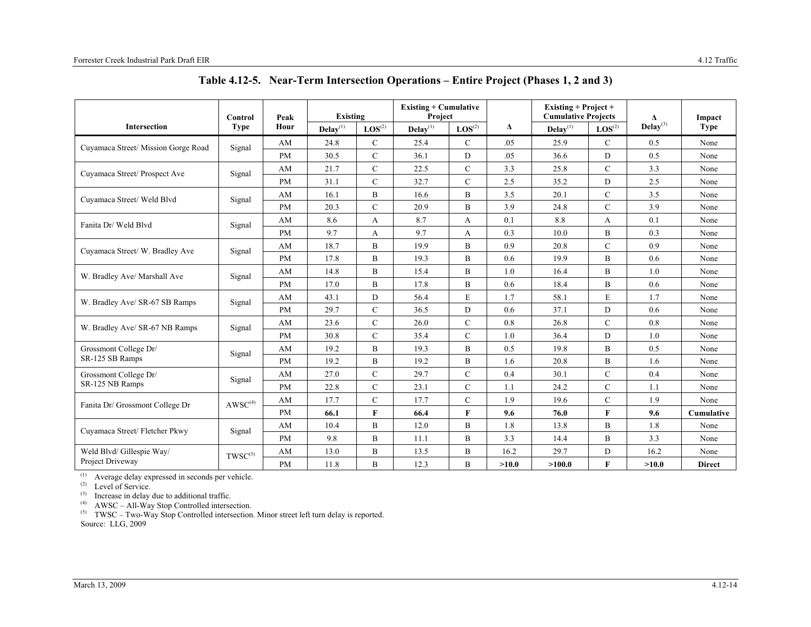|                                     | Control               | Peak      |                        | <b>Existing + Cumulative</b><br><b>Existing</b><br>Project |                        |                      |       | <b>Existing + Project +</b><br><b>Cumulative Projects</b> |                      | $\Delta$      | Impact            |
|-------------------------------------|-----------------------|-----------|------------------------|------------------------------------------------------------|------------------------|----------------------|-------|-----------------------------------------------------------|----------------------|---------------|-------------------|
| <b>Intersection</b>                 | <b>Type</b>           | Hour      | $\textbf{Delay}^{(1)}$ | $\mathbf{LOS}^{(2)}$                                       | $\textbf{Delay}^{(1)}$ | $\mathbf{LOS}^{(2)}$ | Δ     | $\textbf{Delay}^{(1)}$                                    | $\mathbf{LOS}^{(2)}$ | $Delay^{(3)}$ | <b>Type</b>       |
| Cuyamaca Street/ Mission Gorge Road | Signal                | AM        | 24.8                   | $\mathcal{C}$                                              | 25.4                   | $\mathbf C$          | .05   | 25.9                                                      | $\mathcal{C}$        | 0.5           | None              |
|                                     |                       | <b>PM</b> | 30.5                   | $\mathcal{C}$                                              | 36.1                   | D                    | .05   | 36.6                                                      | D                    | 0.5           | None              |
| Cuyamaca Street/ Prospect Ave       | Signal                | AM        | 21.7                   | $\mathbf C$                                                | 22.5                   | $\mathbf C$          | 3.3   | 25.8                                                      | $\mathbf C$          | 3.3           | None              |
|                                     |                       | <b>PM</b> | 31.1                   | $\mathcal{C}$                                              | 32.7                   | $\mathcal{C}$        | 2.5   | 35.2                                                      | D                    | 2.5           | None              |
| Cuyamaca Street/ Weld Blvd          | Signal                | AM        | 16.1                   | $\overline{B}$                                             | 16.6                   | B                    | 3.5   | 20.1                                                      | $\mathcal{C}$        | 3.5           | None              |
|                                     |                       | <b>PM</b> | 20.3                   | $\mathcal{C}$                                              | 20.9                   | B                    | 3.9   | 24.8                                                      | $\mathcal{C}$        | 3.9           | None              |
| Fanita Dr/Weld Blyd                 | Signal                | AM        | 8.6                    | A                                                          | 8.7                    | A                    | 0.1   | 8.8                                                       | A                    | 0.1           | None              |
|                                     |                       | <b>PM</b> | 9.7                    | A                                                          | 9.7                    | A                    | 0.3   | 10.0                                                      | B                    | 0.3           | None              |
| Cuyamaca Street/W. Bradley Ave      | Signal                | AM        | 18.7                   | B                                                          | 19.9                   | B                    | 0.9   | 20.8                                                      | $\mathcal{C}$        | 0.9           | None              |
|                                     |                       | <b>PM</b> | 17.8                   | B                                                          | 19.3                   | B                    | 0.6   | 19.9                                                      | B                    | 0.6           | None              |
| W. Bradley Ave/ Marshall Ave        | Signal                | AM        | 14.8                   | B                                                          | 15.4                   | B                    | 1.0   | 16.4                                                      | B                    | 1.0           | None              |
|                                     |                       | <b>PM</b> | 17.0                   | B                                                          | 17.8                   | B                    | 0.6   | 18.4                                                      | B                    | 0.6           | None              |
| W. Bradley Ave/ SR-67 SB Ramps      | Signal                | AM        | 43.1                   | D                                                          | 56.4                   | E                    | 1.7   | 58.1                                                      | E                    | 1.7           | None              |
|                                     |                       | <b>PM</b> | 29.7                   | $\mathcal{C}$                                              | 36.5                   | D                    | 0.6   | 37.1                                                      | D                    | 0.6           | None              |
| W. Bradley Ave/ SR-67 NB Ramps      | Signal                | AM        | 23.6                   | $\mathcal{C}$                                              | 26.0                   | $\mathcal{C}$        | 0.8   | 26.8                                                      | $\mathbf C$          | 0.8           | None              |
|                                     |                       | <b>PM</b> | 30.8                   | $\mathcal{C}$                                              | 35.4                   | $\mathcal{C}$        | 1.0   | 36.4                                                      | D                    | 1.0           | None              |
| Grossmont College Dr/               | Signal                | AM        | 19.2                   | B                                                          | 19.3                   | B                    | 0.5   | 19.8                                                      | B                    | 0.5           | None              |
| SR-125 SB Ramps                     |                       | <b>PM</b> | 19.2                   | $\overline{B}$                                             | 19.2                   | $\overline{B}$       | 1.6   | 20.8                                                      | $\bf{B}$             | 1.6           | None              |
| Grossmont College Dr/               | Signal                | AM        | 27.0                   | $\mathcal{C}$                                              | 29.7                   | $\mathcal{C}$        | 0.4   | 30.1                                                      | $\mathcal{C}$        | 0.4           | None              |
| SR-125 NB Ramps                     |                       | <b>PM</b> | 22.8                   | $\mathbf C$                                                | 23.1                   | $\mathbf C$          | 1.1   | 24.2                                                      | $\mathbf C$          | 1.1           | None              |
| Fanita Dr/ Grossmont College Dr     | $\mathbf{AWSC}^{(4)}$ | AM        | 17.7                   | $\mathcal{C}$                                              | 17.7                   | $\mathcal{C}$        | 1.9   | 19.6                                                      | $\mathcal{C}$        | 1.9           | None              |
|                                     |                       | <b>PM</b> | 66.1                   | F                                                          | 66.4                   | F                    | 9.6   | 76.0                                                      | $\mathbf F$          | 9.6           | <b>Cumulative</b> |
| Cuyamaca Street/Fletcher Pkwy       | Signal                | AM        | 10.4                   | B                                                          | 12.0                   | B                    | 1.8   | 13.8                                                      | B                    | 1.8           | None              |
|                                     |                       | <b>PM</b> | 9.8                    | B                                                          | 11.1                   | B                    | 3.3   | 14.4                                                      | B                    | 3.3           | None              |
| Weld Blvd/ Gillespie Way/           | $TWSC^{(5)}$          | AM        | 13.0                   | B                                                          | 13.5                   | B                    | 16.2  | 29.7                                                      | D                    | 16.2          | None              |
| Project Driveway                    |                       | <b>PM</b> | 11.8                   | B                                                          | 12.3                   | B                    | >10.0 | >100.0                                                    | F                    | >10.0         | <b>Direct</b>     |

(1) Average delay expressed in seconds per vehicle.<br>
(2) Level of Service.<br>
(3) Increase in delay due to additional traffic.

 $(4)$  AWSC – All-Way Stop Controlled intersection.

 $^{(5)}$  TWSC – Two-Way Stop Controlled intersection. Minor street left turn delay is reported. Source: LLG, 2009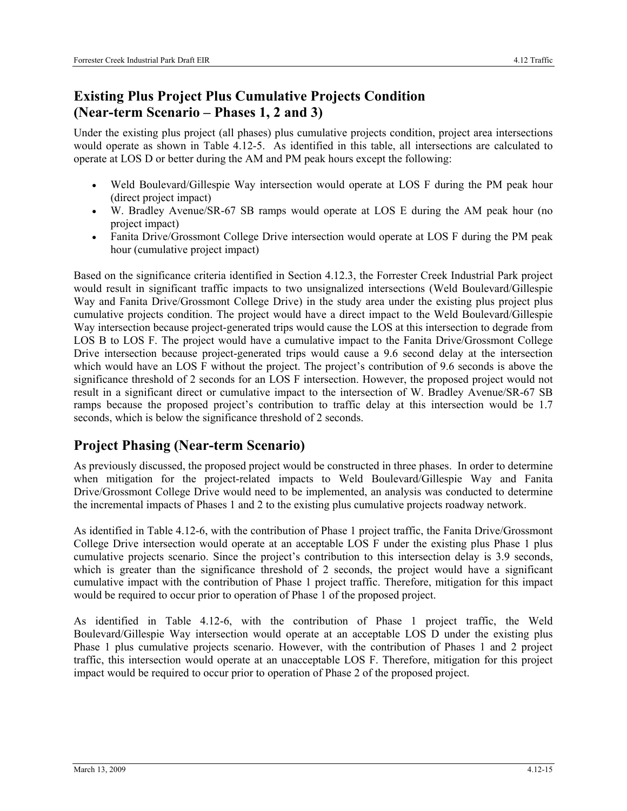# **Existing Plus Project Plus Cumulative Projects Condition (Near-term Scenario – Phases 1, 2 and 3)**

Under the existing plus project (all phases) plus cumulative projects condition, project area intersections would operate as shown in Table 4.12-5. As identified in this table, all intersections are calculated to operate at LOS D or better during the AM and PM peak hours except the following:

- Weld Boulevard/Gillespie Way intersection would operate at LOS F during the PM peak hour (direct project impact)
- W. Bradley Avenue/SR-67 SB ramps would operate at LOS E during the AM peak hour (no project impact)
- Fanita Drive/Grossmont College Drive intersection would operate at LOS F during the PM peak hour (cumulative project impact)

Based on the significance criteria identified in Section 4.12.3, the Forrester Creek Industrial Park project would result in significant traffic impacts to two unsignalized intersections (Weld Boulevard/Gillespie Way and Fanita Drive/Grossmont College Drive) in the study area under the existing plus project plus cumulative projects condition. The project would have a direct impact to the Weld Boulevard/Gillespie Way intersection because project-generated trips would cause the LOS at this intersection to degrade from LOS B to LOS F. The project would have a cumulative impact to the Fanita Drive/Grossmont College Drive intersection because project-generated trips would cause a 9.6 second delay at the intersection which would have an LOS F without the project. The project's contribution of 9.6 seconds is above the significance threshold of 2 seconds for an LOS F intersection. However, the proposed project would not result in a significant direct or cumulative impact to the intersection of W. Bradley Avenue/SR-67 SB ramps because the proposed project's contribution to traffic delay at this intersection would be 1.7 seconds, which is below the significance threshold of 2 seconds.

# **Project Phasing (Near-term Scenario)**

As previously discussed, the proposed project would be constructed in three phases. In order to determine when mitigation for the project-related impacts to Weld Boulevard/Gillespie Way and Fanita Drive/Grossmont College Drive would need to be implemented, an analysis was conducted to determine the incremental impacts of Phases 1 and 2 to the existing plus cumulative projects roadway network.

As identified in Table 4.12-6, with the contribution of Phase 1 project traffic, the Fanita Drive/Grossmont College Drive intersection would operate at an acceptable LOS F under the existing plus Phase 1 plus cumulative projects scenario. Since the project's contribution to this intersection delay is 3.9 seconds, which is greater than the significance threshold of 2 seconds, the project would have a significant cumulative impact with the contribution of Phase 1 project traffic. Therefore, mitigation for this impact would be required to occur prior to operation of Phase 1 of the proposed project.

As identified in Table 4.12-6, with the contribution of Phase 1 project traffic, the Weld Boulevard/Gillespie Way intersection would operate at an acceptable LOS D under the existing plus Phase 1 plus cumulative projects scenario. However, with the contribution of Phases 1 and 2 project traffic, this intersection would operate at an unacceptable LOS F. Therefore, mitigation for this project impact would be required to occur prior to operation of Phase 2 of the proposed project.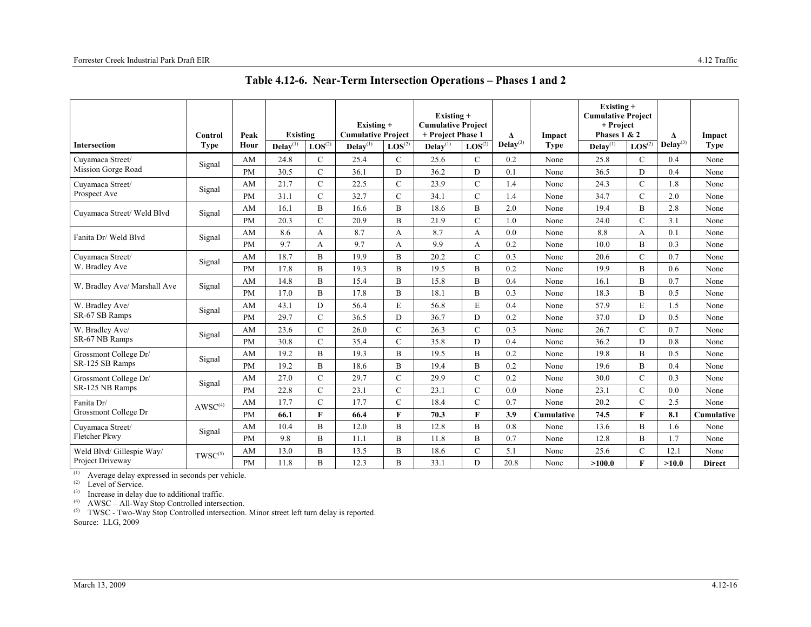| Table 4.12-6. Near-Term Intersection Operations – Phases 1 and 2 |  |  |  |  |  |
|------------------------------------------------------------------|--|--|--|--|--|
|------------------------------------------------------------------|--|--|--|--|--|

|                              | Control             | Peak      | <b>Existing</b>        |                      | Existing +<br><b>Cumulative Project</b> |                      | Existing +<br><b>Cumulative Project</b><br>+ Project Phase 1 |                | Δ             | Impact      | Existing +<br><b>Cumulative Project</b><br>+ Project<br>Phases 1 & 2 |                      | Δ                      | Impact        |
|------------------------------|---------------------|-----------|------------------------|----------------------|-----------------------------------------|----------------------|--------------------------------------------------------------|----------------|---------------|-------------|----------------------------------------------------------------------|----------------------|------------------------|---------------|
| Intersection                 | <b>Type</b>         | Hour      | $\textbf{Delay}^{(1)}$ | $\mathbf{LOS}^{(2)}$ | $\textbf{Delay}^{(1)}$                  | $\mathbf{LOS}^{(2)}$ | $\textbf{Delay}^{(1)}$                                       | $LOS^{(2)}$    | $Delay^{(3)}$ | <b>Type</b> | $\textbf{Delay}^{(1)}$                                               | $\mathbf{LOS}^{(2)}$ | $\textbf{Delay}^{(3)}$ | <b>Type</b>   |
| Cuvamaca Street/             | Signal              | AM        | 24.8                   | С                    | 25.4                                    | $\mathcal{C}$        | 25.6                                                         | C              | 0.2           | None        | 25.8                                                                 | C                    | 0.4                    | None          |
| Mission Gorge Road           |                     | <b>PM</b> | 30.5                   | $\mathcal{C}$        | 36.1                                    | D                    | 36.2                                                         | D              | 0.1           | None        | 36.5                                                                 | D                    | 0.4                    | None          |
| Cuvamaca Street/             | Signal              | AM        | 21.7                   | $\overline{C}$       | 22.5                                    | $\mathcal{C}$        | 23.9                                                         | $\mathcal{C}$  | 1.4           | None        | 24.3                                                                 | $\mathcal{C}$        | 1.8                    | None          |
| Prospect Ave                 |                     | <b>PM</b> | 31.1                   | $\mathbf C$          | 32.7                                    | $\mathcal{C}$        | 34.1                                                         | $\mathcal{C}$  | 1.4           | None        | 34.7                                                                 | $\mathcal{C}$        | 2.0                    | None          |
| Cuyamaca Street/ Weld Blvd   | Signal              | AM        | 16.1                   | B                    | 16.6                                    | B                    | 18.6                                                         | B              | 2.0           | None        | 19.4                                                                 | B                    | 2.8                    | None          |
|                              |                     | <b>PM</b> | 20.3                   | $\mathcal{C}$        | 20.9                                    | B                    | 21.9                                                         | $\mathcal{C}$  | 1.0           | None        | 24.0                                                                 | $\mathcal{C}$        | 3.1                    | None          |
| Fanita Dr/Weld Blvd          | Signal              | AM        | 8.6                    | А                    | 8.7                                     | A                    | 8.7                                                          | A              | 0.0           | None        | 8.8                                                                  | A                    | 0.1                    | None          |
|                              |                     | <b>PM</b> | 9.7                    | А                    | 9.7                                     | A                    | 9.9                                                          | A              | 0.2           | None        | 10.0                                                                 | B                    | 0.3                    | None          |
| Cuvamaca Street/             | Signal              | AM        | 18.7                   | B                    | 19.9                                    | B                    | 20.2                                                         | $\mathcal{C}$  | 0.3           | None        | 20.6                                                                 | $\mathcal{C}$        | 0.7                    | None          |
| W. Bradley Ave               | <b>PM</b>           | 17.8      | B                      | 19.3                 | B                                       | 19.5                 | B                                                            | 0.2            | None          | 19.9        | B                                                                    | 0.6                  | None                   |               |
| W. Bradley Ave/ Marshall Ave | Signal              | AM        | 14.8                   | B                    | 15.4                                    | B                    | 15.8                                                         | B              | 0.4           | None        | 16.1                                                                 | B                    | 0.7                    | None          |
|                              |                     | <b>PM</b> | 17.0                   | B                    | 17.8                                    | $\overline{B}$       | 18.1                                                         | B              | 0.3           | None        | 18.3                                                                 | B                    | 0.5                    | None          |
| W. Bradley Ave/              | Signal              | AM        | 43.1                   | D                    | 56.4                                    | E                    | 56.8                                                         | E              | 0.4           | None        | 57.9                                                                 | E                    | 1.5                    | None          |
| SR-67 SB Ramps               |                     | <b>PM</b> | 29.7                   | $\mathbf C$          | 36.5                                    | D                    | 36.7                                                         | D              | 0.2           | None        | 37.0                                                                 | D                    | 0.5                    | None          |
| W. Bradley Ave/              | Signal              | AM        | 23.6                   | $\mathcal{C}$        | 26.0                                    | $\mathcal{C}$        | 26.3                                                         | $\mathcal{C}$  | 0.3           | None        | 26.7                                                                 | $\mathcal{C}$        | 0.7                    | None          |
| SR-67 NB Ramps               |                     | <b>PM</b> | 30.8                   | $\mathcal{C}$        | 35.4                                    | $\mathcal{C}$        | 35.8                                                         | D              | 0.4           | None        | 36.2                                                                 | D                    | 0.8                    | None          |
| Grossmont College Dr/        | Signal              | AM        | 19.2                   | B                    | 19.3                                    | $\overline{B}$       | 19.5                                                         | $\overline{B}$ | 0.2           | None        | 19.8                                                                 | <sub>B</sub>         | 0.5                    | None          |
| SR-125 SB Ramps              |                     | <b>PM</b> | 19.2                   | B                    | 18.6                                    | B                    | 19.4                                                         | B              | 0.2           | None        | 19.6                                                                 | B                    | 0.4                    | None          |
| Grossmont College Dr/        | Signal              | AM        | 27.0                   | $\mathbf C$          | 29.7                                    | $\mathcal{C}$        | 29.9                                                         | $\mathcal{C}$  | 0.2           | None        | 30.0                                                                 | $\mathbf{C}$         | 0.3                    | None          |
| SR-125 NB Ramps              |                     | <b>PM</b> | 22.8                   | $\overline{C}$       | 23.1                                    | $\mathcal{C}$        | 23.1                                                         | $\mathcal{C}$  | 0.0           | None        | 23.1                                                                 | $\mathcal{C}$        | 0.0                    | None          |
| Fanita Dr/                   | AWSC <sup>(4)</sup> | AM        | 17.7                   | $\mathcal{C}$        | 17.7                                    | $\mathcal{C}$        | 18.4                                                         | $\mathcal{C}$  | 0.7           | None        | 20.2                                                                 | $\mathcal{C}$        | 2.5                    | None          |
| Grossmont College Dr         | <b>PM</b>           | 66.1      | $\mathbf{F}$           | 66.4                 | F                                       | 70.3                 | $\mathbf{F}$                                                 | 3.9            | Cumulative    | 74.5        | F                                                                    | 8.1                  | <b>Cumulative</b>      |               |
| Cuvamaca Street/             | Signal              | AM        | 10.4                   | B                    | 12.0                                    | $\overline{B}$       | 12.8                                                         | B              | 0.8           | None        | 13.6                                                                 | B                    | 1.6                    | None          |
| Fletcher Pkwy                |                     | <b>PM</b> | 9.8                    | B                    | 11.1                                    | B                    | 11.8                                                         | B              | 0.7           | None        | 12.8                                                                 | B                    | 1.7                    | None          |
| Weld Blvd/ Gillespie Way/    | $TWSC^{(5)}$        | AM        | 13.0                   | B                    | 13.5                                    | B                    | 18.6                                                         | $\mathcal{C}$  | 5.1           | None        | 25.6                                                                 | C                    | 12.1                   | None          |
| Project Driveway             |                     | <b>PM</b> | 11.8                   | B                    | 12.3                                    | B                    | 33.1                                                         | D              | 20.8          | None        | >100.0                                                               | F                    | >10.0                  | <b>Direct</b> |

(1) Average delay expressed in seconds per vehicle.<br>
(2) Level of Service.<br>
(3) Increase in delay due to additional traffic.

 $(4)$  AWSC – All-Way Stop Controlled intersection.

 $^{(5)}$  TWSC - Two-Way Stop Controlled intersection. Minor street left turn delay is reported. Source: LLG, 2009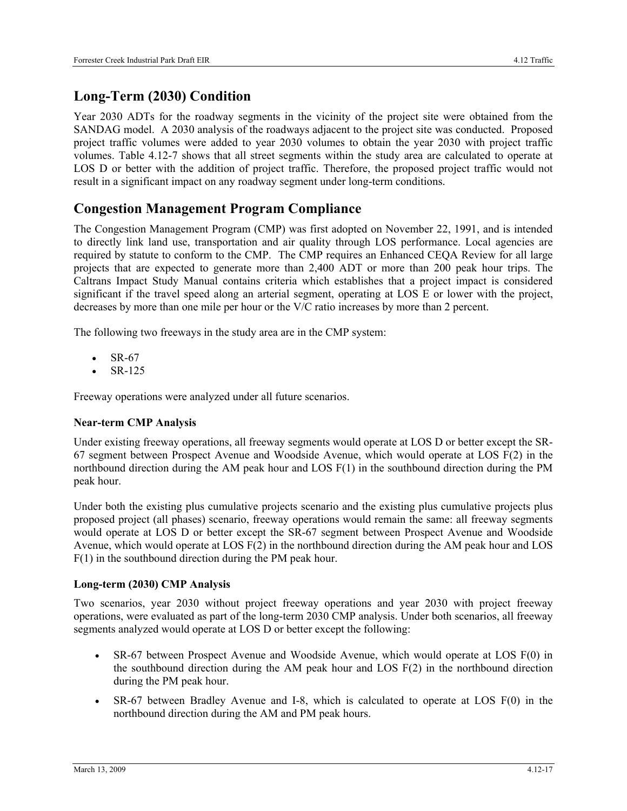# **Long-Term (2030) Condition**

Year 2030 ADTs for the roadway segments in the vicinity of the project site were obtained from the SANDAG model. A 2030 analysis of the roadways adjacent to the project site was conducted. Proposed project traffic volumes were added to year 2030 volumes to obtain the year 2030 with project traffic volumes. Table 4.12-7 shows that all street segments within the study area are calculated to operate at LOS D or better with the addition of project traffic. Therefore, the proposed project traffic would not result in a significant impact on any roadway segment under long-term conditions.

# **Congestion Management Program Compliance**

The Congestion Management Program (CMP) was first adopted on November 22, 1991, and is intended to directly link land use, transportation and air quality through LOS performance. Local agencies are required by statute to conform to the CMP. The CMP requires an Enhanced CEQA Review for all large projects that are expected to generate more than 2,400 ADT or more than 200 peak hour trips. The Caltrans Impact Study Manual contains criteria which establishes that a project impact is considered significant if the travel speed along an arterial segment, operating at LOS E or lower with the project, decreases by more than one mile per hour or the V/C ratio increases by more than 2 percent.

The following two freeways in the study area are in the CMP system:

- $\cdot$  SR-67
- SR-125

Freeway operations were analyzed under all future scenarios.

#### **Near-term CMP Analysis**

Under existing freeway operations, all freeway segments would operate at LOS D or better except the SR-67 segment between Prospect Avenue and Woodside Avenue, which would operate at LOS F(2) in the northbound direction during the AM peak hour and LOS  $F(1)$  in the southbound direction during the PM peak hour.

Under both the existing plus cumulative projects scenario and the existing plus cumulative projects plus proposed project (all phases) scenario, freeway operations would remain the same: all freeway segments would operate at LOS D or better except the SR-67 segment between Prospect Avenue and Woodside Avenue, which would operate at LOS F(2) in the northbound direction during the AM peak hour and LOS F(1) in the southbound direction during the PM peak hour.

#### **Long-term (2030) CMP Analysis**

Two scenarios, year 2030 without project freeway operations and year 2030 with project freeway operations, were evaluated as part of the long-term 2030 CMP analysis. Under both scenarios, all freeway segments analyzed would operate at LOS D or better except the following:

- SR-67 between Prospect Avenue and Woodside Avenue, which would operate at LOS F(0) in the southbound direction during the AM peak hour and LOS F(2) in the northbound direction during the PM peak hour.
- SR-67 between Bradley Avenue and I-8, which is calculated to operate at LOS F(0) in the northbound direction during the AM and PM peak hours.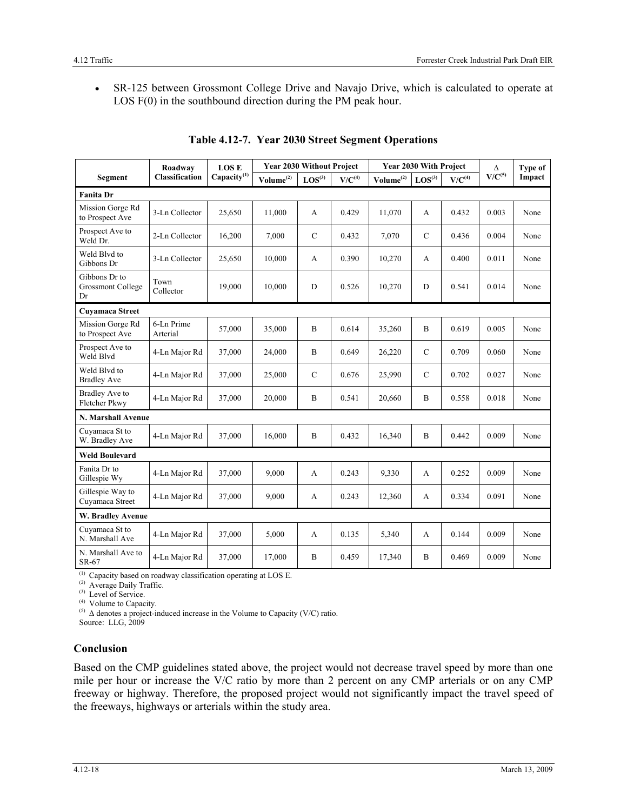• SR-125 between Grossmont College Drive and Navajo Drive, which is calculated to operate at LOS F(0) in the southbound direction during the PM peak hour.

|                                          | Roadway                | <b>LOSE</b>      | Year 2030 Without Project |               |                    |                       | <b>Year 2030 With Project</b> |                    | Δ                  | Type of |
|------------------------------------------|------------------------|------------------|---------------------------|---------------|--------------------|-----------------------|-------------------------------|--------------------|--------------------|---------|
| <b>Segment</b>                           | Classification         | $Capacity^{(1)}$ | Volume <sup>(2)</sup>     | $LOS^{(3)}$   | V/C <sup>(4)</sup> | Volume <sup>(2)</sup> | $LOS^{(3)}$                   | V/C <sup>(4)</sup> | V/C <sup>(5)</sup> | Impact  |
| <b>Fanita</b> Dr                         |                        |                  |                           |               |                    |                       |                               |                    |                    |         |
| Mission Gorge Rd<br>to Prospect Ave      | 3-Ln Collector         | 25,650           | 11,000                    | A             | 0.429              | 11,070                | A                             | 0.432              | 0.003              | None    |
| Prospect Ave to<br>Weld Dr.              | 2-Ln Collector         | 16,200           | 7,000                     | $\mathcal{C}$ | 0.432              | 7,070                 | $\mathbf C$                   | 0.436              | 0.004              | None    |
| Weld Blyd to<br>Gibbons Dr               | 3-Ln Collector         | 25,650           | 10,000                    | A             | 0.390              | 10,270                | A                             | 0.400              | 0.011              | None    |
| Gibbons Dr to<br>Grossmont College<br>Dr | Town<br>Collector      | 19,000           | 10,000                    | D             | 0.526              | 10,270                | D                             | 0.541              | 0.014              | None    |
| Cuyamaca Street                          |                        |                  |                           |               |                    |                       |                               |                    |                    |         |
| Mission Gorge Rd<br>to Prospect Ave      | 6-Ln Prime<br>Arterial | 57,000           | 35,000                    | B             | 0.614              | 35,260                | B                             | 0.619              | 0.005              | None    |
| Prospect Ave to<br>Weld Blyd             | 4-Ln Major Rd          | 37,000           | 24,000                    | B             | 0.649              | 26,220                | $\mathcal{C}$                 | 0.709              | 0.060              | None    |
| Weld Blyd to<br><b>Bradley Ave</b>       | 4-Ln Major Rd          | 37,000           | 25,000                    | $\mathcal{C}$ | 0.676              | 25,990                | $\mathcal{C}$                 | 0.702              | 0.027              | None    |
| Bradley Ave to<br>Fletcher Pkwy          | 4-Ln Major Rd          | 37,000           | 20,000                    | B             | 0.541              | 20,660                | B                             | 0.558              | 0.018              | None    |
| N. Marshall Avenue                       |                        |                  |                           |               |                    |                       |                               |                    |                    |         |
| Cuvamaca St to<br>W. Bradley Ave         | 4-Ln Major Rd          | 37,000           | 16,000                    | B             | 0.432              | 16,340                | B                             | 0.442              | 0.009              | None    |
| <b>Weld Boulevard</b>                    |                        |                  |                           |               |                    |                       |                               |                    |                    |         |
| Fanita Dr to<br>Gillespie Wy             | 4-Ln Major Rd          | 37,000           | 9,000                     | A             | 0.243              | 9,330                 | A                             | 0.252              | 0.009              | None    |
| Gillespie Way to<br>Cuvamaca Street      | 4-Ln Major Rd          | 37,000           | 9,000                     | A             | 0.243              | 12,360                | A                             | 0.334              | 0.091              | None    |
| W. Bradley Avenue                        |                        |                  |                           |               |                    |                       |                               |                    |                    |         |
| Cuvamaca St to<br>N. Marshall Ave        | 4-Ln Major Rd          | 37,000           | 5,000                     | A             | 0.135              | 5,340                 | A                             | 0.144              | 0.009              | None    |
| N. Marshall Ave to<br>SR-67              | 4-Ln Major Rd          | 37,000           | 17,000                    | B             | 0.459              | 17,340                | B                             | 0.469              | 0.009              | None    |

|  |  | Table 4.12-7. Year 2030 Street Segment Operations |  |
|--|--|---------------------------------------------------|--|
|--|--|---------------------------------------------------|--|

 $(1)$  Capacity based on roadway classification operating at LOS E.

(2) Average Daily Traffic.

<sup>(3)</sup> Level of Service.

(4) Volume to Capacity.

(5) ∆ denotes a project-induced increase in the Volume to Capacity (V/C) ratio.

Source: LLG, 2009

#### **Conclusion**

Based on the CMP guidelines stated above, the project would not decrease travel speed by more than one mile per hour or increase the V/C ratio by more than 2 percent on any CMP arterials or on any CMP freeway or highway. Therefore, the proposed project would not significantly impact the travel speed of the freeways, highways or arterials within the study area.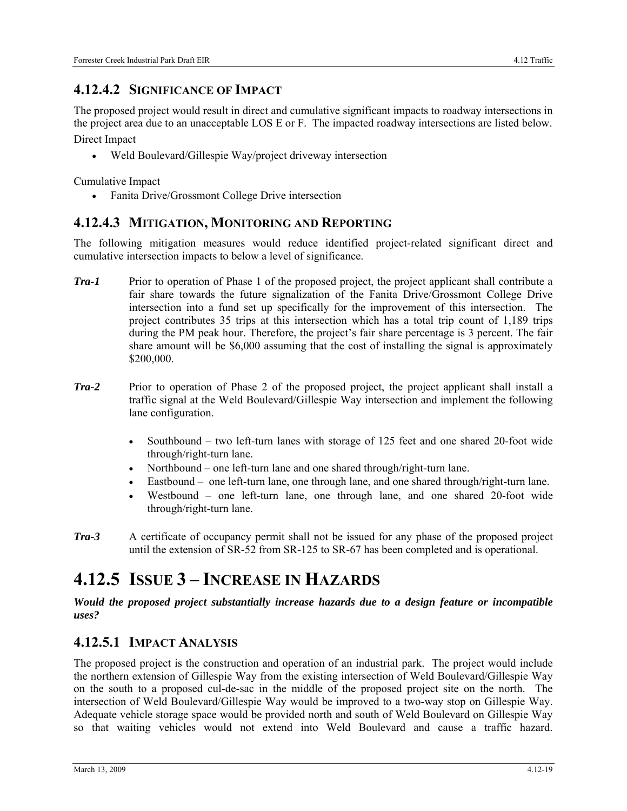# **4.12.4.2 SIGNIFICANCE OF IMPACT**

The proposed project would result in direct and cumulative significant impacts to roadway intersections in the project area due to an unacceptable LOS E or F. The impacted roadway intersections are listed below.

Direct Impact

• Weld Boulevard/Gillespie Way/project driveway intersection

Cumulative Impact

• Fanita Drive/Grossmont College Drive intersection

### **4.12.4.3 MITIGATION, MONITORING AND REPORTING**

The following mitigation measures would reduce identified project-related significant direct and cumulative intersection impacts to below a level of significance.

- *Tra-1* Prior to operation of Phase 1 of the proposed project, the project applicant shall contribute a fair share towards the future signalization of the Fanita Drive/Grossmont College Drive intersection into a fund set up specifically for the improvement of this intersection. The project contributes 35 trips at this intersection which has a total trip count of 1,189 trips during the PM peak hour. Therefore, the project's fair share percentage is 3 percent. The fair share amount will be \$6,000 assuming that the cost of installing the signal is approximately \$200,000.
- *Tra-2* Prior to operation of Phase 2 of the proposed project, the project applicant shall install a traffic signal at the Weld Boulevard/Gillespie Way intersection and implement the following lane configuration.
	- Southbound two left-turn lanes with storage of 125 feet and one shared 20-foot wide through/right-turn lane.
	- Northbound one left-turn lane and one shared through/right-turn lane.
	- Eastbound one left-turn lane, one through lane, and one shared through/right-turn lane.
	- Westbound one left-turn lane, one through lane, and one shared 20-foot wide through/right-turn lane.
- *Tra-3* A certificate of occupancy permit shall not be issued for any phase of the proposed project until the extension of SR-52 from SR-125 to SR-67 has been completed and is operational.

# **4.12.5 ISSUE 3 – INCREASE IN HAZARDS**

#### *Would the proposed project substantially increase hazards due to a design feature or incompatible uses?*

## **4.12.5.1 IMPACT ANALYSIS**

The proposed project is the construction and operation of an industrial park. The project would include the northern extension of Gillespie Way from the existing intersection of Weld Boulevard/Gillespie Way on the south to a proposed cul-de-sac in the middle of the proposed project site on the north. The intersection of Weld Boulevard/Gillespie Way would be improved to a two-way stop on Gillespie Way. Adequate vehicle storage space would be provided north and south of Weld Boulevard on Gillespie Way so that waiting vehicles would not extend into Weld Boulevard and cause a traffic hazard.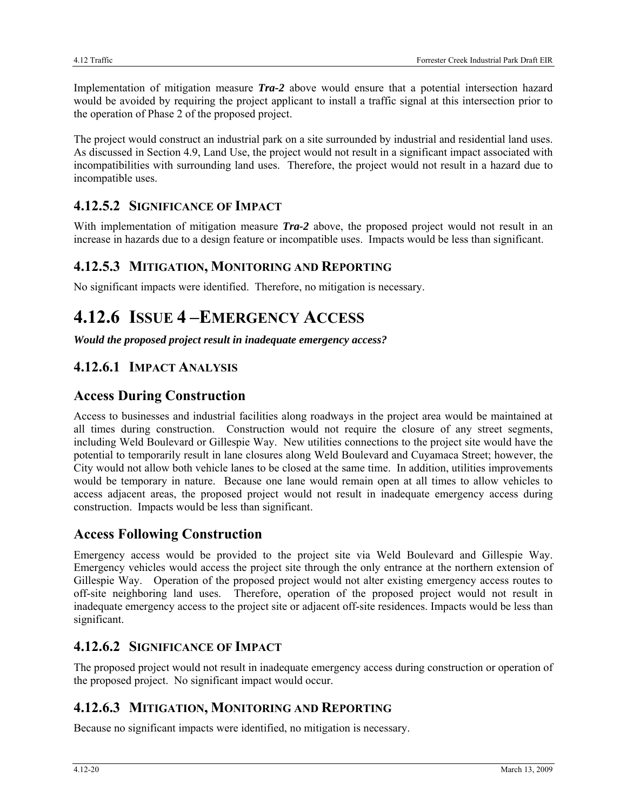Implementation of mitigation measure *Tra-2* above would ensure that a potential intersection hazard would be avoided by requiring the project applicant to install a traffic signal at this intersection prior to the operation of Phase 2 of the proposed project.

The project would construct an industrial park on a site surrounded by industrial and residential land uses. As discussed in Section 4.9, Land Use, the project would not result in a significant impact associated with incompatibilities with surrounding land uses. Therefore, the project would not result in a hazard due to incompatible uses.

# **4.12.5.2 SIGNIFICANCE OF IMPACT**

With implementation of mitigation measure *Tra-2* above, the proposed project would not result in an increase in hazards due to a design feature or incompatible uses. Impacts would be less than significant.

# **4.12.5.3 MITIGATION, MONITORING AND REPORTING**

No significant impacts were identified. Therefore, no mitigation is necessary.

# **4.12.6 ISSUE 4 –EMERGENCY ACCESS**

*Would the proposed project result in inadequate emergency access?* 

# **4.12.6.1 IMPACT ANALYSIS**

## **Access During Construction**

Access to businesses and industrial facilities along roadways in the project area would be maintained at all times during construction. Construction would not require the closure of any street segments, including Weld Boulevard or Gillespie Way. New utilities connections to the project site would have the potential to temporarily result in lane closures along Weld Boulevard and Cuyamaca Street; however, the City would not allow both vehicle lanes to be closed at the same time. In addition, utilities improvements would be temporary in nature. Because one lane would remain open at all times to allow vehicles to access adjacent areas, the proposed project would not result in inadequate emergency access during construction. Impacts would be less than significant.

## **Access Following Construction**

Emergency access would be provided to the project site via Weld Boulevard and Gillespie Way. Emergency vehicles would access the project site through the only entrance at the northern extension of Gillespie Way. Operation of the proposed project would not alter existing emergency access routes to off-site neighboring land uses. Therefore, operation of the proposed project would not result in inadequate emergency access to the project site or adjacent off-site residences. Impacts would be less than significant.

## **4.12.6.2 SIGNIFICANCE OF IMPACT**

The proposed project would not result in inadequate emergency access during construction or operation of the proposed project. No significant impact would occur.

## **4.12.6.3 MITIGATION, MONITORING AND REPORTING**

Because no significant impacts were identified, no mitigation is necessary.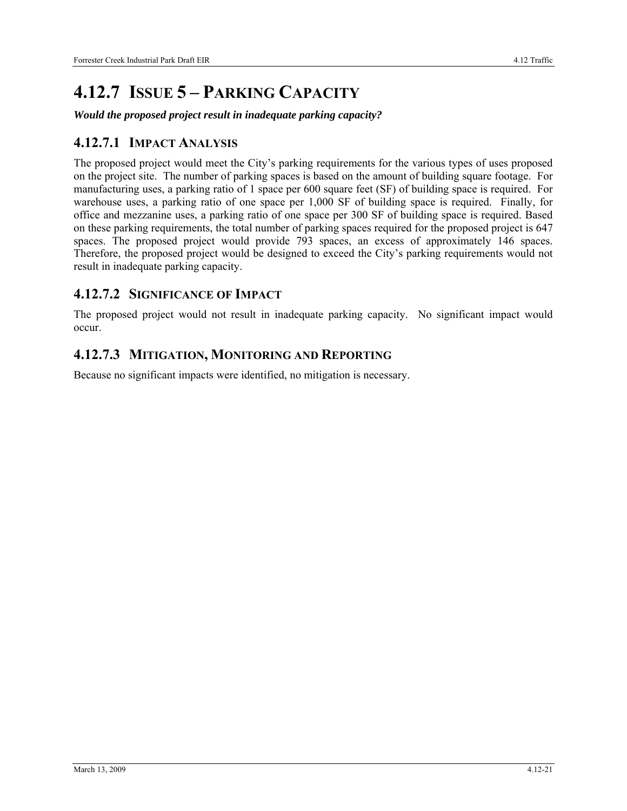# **4.12.7 ISSUE 5 – PARKING CAPACITY**

*Would the proposed project result in inadequate parking capacity?* 

# **4.12.7.1 IMPACT ANALYSIS**

The proposed project would meet the City's parking requirements for the various types of uses proposed on the project site. The number of parking spaces is based on the amount of building square footage. For manufacturing uses, a parking ratio of 1 space per 600 square feet (SF) of building space is required. For warehouse uses, a parking ratio of one space per 1,000 SF of building space is required. Finally, for office and mezzanine uses, a parking ratio of one space per 300 SF of building space is required. Based on these parking requirements, the total number of parking spaces required for the proposed project is 647 spaces. The proposed project would provide 793 spaces, an excess of approximately 146 spaces. Therefore, the proposed project would be designed to exceed the City's parking requirements would not result in inadequate parking capacity.

## **4.12.7.2 SIGNIFICANCE OF IMPACT**

The proposed project would not result in inadequate parking capacity. No significant impact would occur.

# **4.12.7.3 MITIGATION, MONITORING AND REPORTING**

Because no significant impacts were identified, no mitigation is necessary.